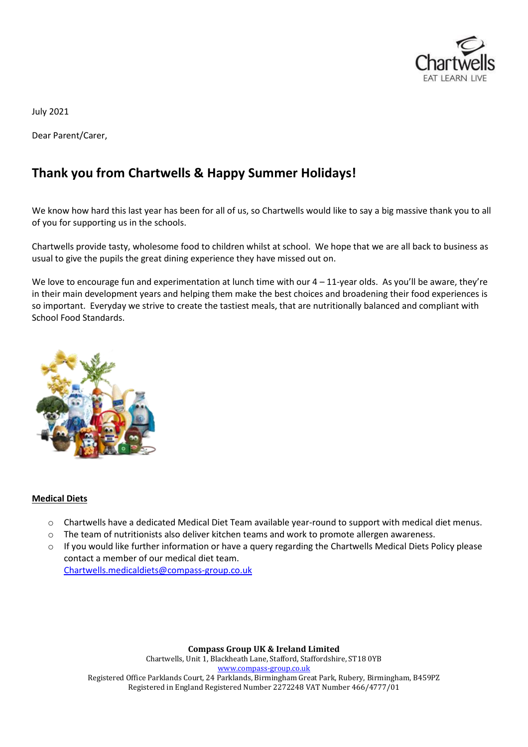

July 2021

Dear Parent/Carer,

# **Thank you from Chartwells & Happy Summer Holidays!**

We know how hard this last year has been for all of us, so Chartwells would like to say a big massive thank you to all of you for supporting us in the schools.

Chartwells provide tasty, wholesome food to children whilst at school. We hope that we are all back to business as usual to give the pupils the great dining experience they have missed out on.

We love to encourage fun and experimentation at lunch time with our  $4 - 11$ -year olds. As you'll be aware, they're in their main development years and helping them make the best choices and broadening their food experiences is so important. Everyday we strive to create the tastiest meals, that are nutritionally balanced and compliant with School Food Standards.



### **Medical Diets**

- o Chartwells have a dedicated Medical Diet Team available year-round to support with medical diet menus.
- $\circ$  The team of nutritionists also deliver kitchen teams and work to promote allergen awareness.
- o If you would like further information or have a query regarding the Chartwells Medical Diets Policy please contact a member of our medical diet team.

[Chartwells.medicaldiets@compass-group.co.uk](file://///cguks61/groups/Chartwells/entrust/mcelenk1/SONYA%20PEACOCK/LETTERS/2021/Chartwells.medicaldiets@compass-group.co.uk)

**Compass Group UK & Ireland Limited** Chartwells, Unit 1, Blackheath Lane, Stafford, Staffordshire, ST18 0YB [www.compass-group.co.uk](http://www.compass-group.co.uk/) Registered Office Parklands Court, 24 Parklands, Birmingham Great Park, Rubery, Birmingham, B459PZ Registered in England Registered Number 2272248 VAT Number 466/4777/01